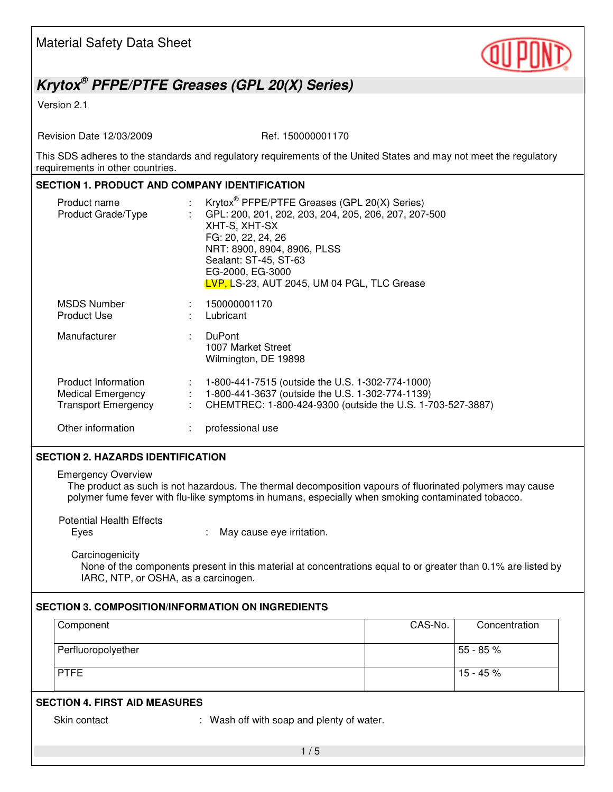

# *Krytox® PFPE/PTFE Greases (GPL 20(X) Series)*

Version 2.1

Revision Date 12/03/2009 Ref. 150000001170

This SDS adheres to the standards and regulatory requirements of the United States and may not meet the regulatory requirements in other countries.

### **SECTION 1. PRODUCT AND COMPANY IDENTIFICATION**

| Product name<br>Product Grade/Type                                            |         | Krytox <sup>®</sup> PFPE/PTFE Greases (GPL 20(X) Series)<br>GPL: 200, 201, 202, 203, 204, 205, 206, 207, 207-500<br>XHT-S, XHT-SX<br>FG: 20, 22, 24, 26<br>NRT: 8900, 8904, 8906, PLSS<br>Sealant: ST-45, ST-63<br>EG-2000, EG-3000<br>LVP, LS-23, AUT 2045, UM 04 PGL, TLC Grease |
|-------------------------------------------------------------------------------|---------|------------------------------------------------------------------------------------------------------------------------------------------------------------------------------------------------------------------------------------------------------------------------------------|
| <b>MSDS Number</b><br>Product Use                                             |         | 150000001170<br>Lubricant                                                                                                                                                                                                                                                          |
| Manufacturer                                                                  | ÷.      | <b>DuPont</b><br>1007 Market Street<br>Wilmington, DE 19898                                                                                                                                                                                                                        |
| Product Information<br><b>Medical Emergency</b><br><b>Transport Emergency</b> | ÷<br>÷. | 1-800-441-7515 (outside the U.S. 1-302-774-1000)<br>1-800-441-3637 (outside the U.S. 1-302-774-1139)<br>CHEMTREC: 1-800-424-9300 (outside the U.S. 1-703-527-3887)                                                                                                                 |
| Other information                                                             |         | professional use                                                                                                                                                                                                                                                                   |

#### **SECTION 2. HAZARDS IDENTIFICATION**

Emergency Overview

The product as such is not hazardous. The thermal decomposition vapours of fluorinated polymers may cause polymer fume fever with flu-like symptoms in humans, especially when smoking contaminated tobacco.

Potential Health Effects

Eyes : May cause eye irritation.

**Carcinogenicity** 

None of the components present in this material at concentrations equal to or greater than 0.1% are listed by IARC, NTP, or OSHA, as a carcinogen.

## **SECTION 3. COMPOSITION/INFORMATION ON INGREDIENTS**

|                    | Concentration |
|--------------------|---------------|
| Perfluoropolyether | 55 - 85 %     |
| <b>PTFE</b>        | $15 - 45 \%$  |

## **SECTION 4. FIRST AID MEASURES**

Skin contact : Wash off with soap and plenty of water.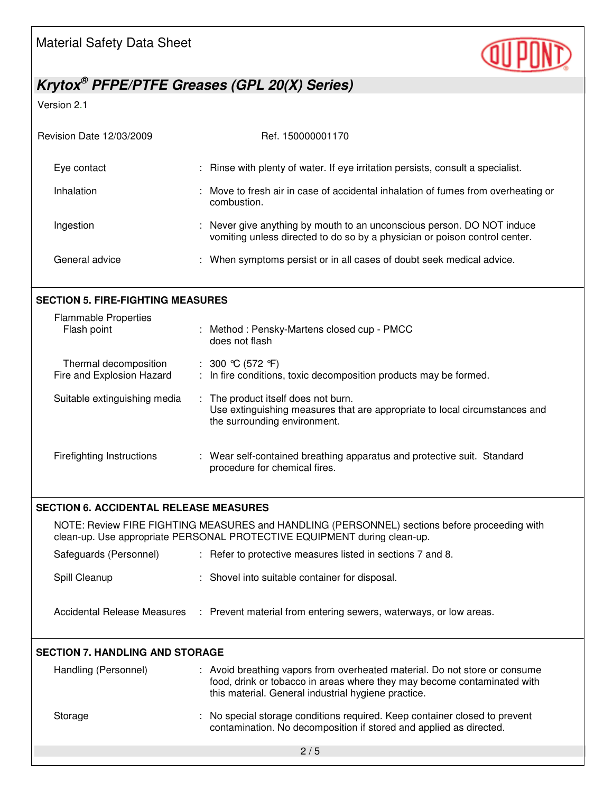

# *Krytox® PFPE/PTFE Greases (GPL 20(X) Series)*

Version 2.1

| <b>Revision Date 12/03/2009</b> | Ref. 150000001170                                                                                                                                    |
|---------------------------------|------------------------------------------------------------------------------------------------------------------------------------------------------|
| Eye contact                     | : Rinse with plenty of water. If eye irritation persists, consult a specialist.                                                                      |
| Inhalation                      | : Move to fresh air in case of accidental inhalation of fumes from overheating or<br>combustion.                                                     |
| Ingestion                       | : Never give anything by mouth to an unconscious person. DO NOT induce<br>vomiting unless directed to do so by a physician or poison control center. |
| General advice                  | : When symptoms persist or in all cases of doubt seek medical advice.                                                                                |
|                                 |                                                                                                                                                      |

### **SECTION 5. FIRE-FIGHTING MEASURES**

| <b>Flammable Properties</b>  | : Method : Pensky-Martens closed cup - PMCC                                                                                                       |
|------------------------------|---------------------------------------------------------------------------------------------------------------------------------------------------|
| Flash point                  | does not flash                                                                                                                                    |
| Thermal decomposition        | : 300 °C (572 °F)                                                                                                                                 |
| Fire and Explosion Hazard    | : In fire conditions, toxic decomposition products may be formed.                                                                                 |
| Suitable extinguishing media | : The product itself does not burn.<br>Use extinguishing measures that are appropriate to local circumstances and<br>the surrounding environment. |
| Firefighting Instructions    | : Wear self-contained breathing apparatus and protective suit. Standard<br>procedure for chemical fires.                                          |

#### **SECTION 6. ACCIDENTAL RELEASE MEASURES**

NOTE: Review FIRE FIGHTING MEASURES and HANDLING (PERSONNEL) sections before proceeding with clean-up. Use appropriate PERSONAL PROTECTIVE EQUIPMENT during clean-up.

| Safeguards (Personnel)      | : Refer to protective measures listed in sections 7 and 8.        |
|-----------------------------|-------------------------------------------------------------------|
| Spill Cleanup               | : Shovel into suitable container for disposal.                    |
| Accidental Release Measures | : Prevent material from entering sewers, waterways, or low areas. |

#### **SECTION 7. HANDLING AND STORAGE**

| Handling (Personnel) | : Avoid breathing vapors from overheated material. Do not store or consume<br>food, drink or tobacco in areas where they may become contaminated with<br>this material. General industrial hygiene practice. |  |
|----------------------|--------------------------------------------------------------------------------------------------------------------------------------------------------------------------------------------------------------|--|
| Storage              | : No special storage conditions required. Keep container closed to prevent<br>contamination. No decomposition if stored and applied as directed.                                                             |  |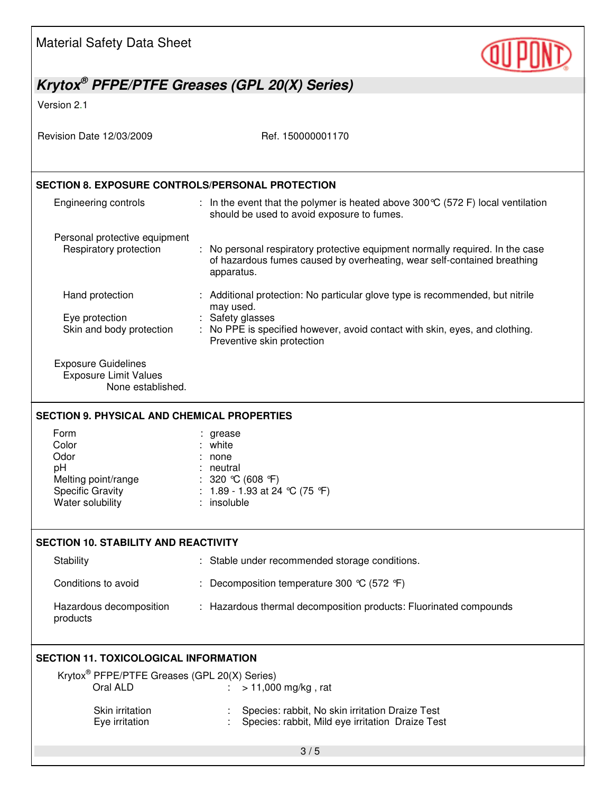| <b>Material Safety Data Sheet</b>                                                                 |                                                                                                                                                                                                                             |  |
|---------------------------------------------------------------------------------------------------|-----------------------------------------------------------------------------------------------------------------------------------------------------------------------------------------------------------------------------|--|
|                                                                                                   | Krytox <sup>®</sup> PFPE/PTFE Greases (GPL 20(X) Series)                                                                                                                                                                    |  |
| Version 2.1                                                                                       |                                                                                                                                                                                                                             |  |
| Revision Date 12/03/2009                                                                          | Ref. 150000001170                                                                                                                                                                                                           |  |
| <b>SECTION 8. EXPOSURE CONTROLS/PERSONAL PROTECTION</b>                                           |                                                                                                                                                                                                                             |  |
| Engineering controls                                                                              | : In the event that the polymer is heated above 300 $\mathbb{C}$ (572 F) local ventilation<br>should be used to avoid exposure to fumes.                                                                                    |  |
| Personal protective equipment<br>Respiratory protection                                           | No personal respiratory protective equipment normally required. In the case<br>of hazardous fumes caused by overheating, wear self-contained breathing<br>apparatus.                                                        |  |
| Hand protection<br>Eye protection<br>Skin and body protection                                     | : Additional protection: No particular glove type is recommended, but nitrile<br>may used.<br>: Safety glasses<br>: No PPE is specified however, avoid contact with skin, eyes, and clothing.<br>Preventive skin protection |  |
| <b>Exposure Guidelines</b><br><b>Exposure Limit Values</b><br>None established.                   |                                                                                                                                                                                                                             |  |
| <b>SECTION 9. PHYSICAL AND CHEMICAL PROPERTIES</b>                                                |                                                                                                                                                                                                                             |  |
| Form<br>Color<br>Odor<br>рH<br>Melting point/range<br><b>Specific Gravity</b><br>Water solubility | grease<br>white<br>none<br>: neutral<br>: 320 °C (608 °F)<br>: 1.89 - 1.93 at 24 °C (75 °F)<br>: insoluble                                                                                                                  |  |
| <b>SECTION 10. STABILITY AND REACTIVITY</b>                                                       |                                                                                                                                                                                                                             |  |
| Stability                                                                                         | : Stable under recommended storage conditions.                                                                                                                                                                              |  |
| Conditions to avoid                                                                               | : Decomposition temperature 300 $\degree$ C (572 $\degree$ F)                                                                                                                                                               |  |
| Hazardous decomposition<br>products                                                               | : Hazardous thermal decomposition products: Fluorinated compounds                                                                                                                                                           |  |
| <b>SECTION 11. TOXICOLOGICAL INFORMATION</b>                                                      |                                                                                                                                                                                                                             |  |
| Krytox <sup>®</sup> PFPE/PTFE Greases (GPL 20(X) Series)<br>Oral ALD                              | > 11,000 mg/kg, rat                                                                                                                                                                                                         |  |
| Skin irritation<br>Eye irritation                                                                 | Species: rabbit, No skin irritation Draize Test<br>Species: rabbit, Mild eye irritation Draize Test                                                                                                                         |  |
|                                                                                                   | 3/5                                                                                                                                                                                                                         |  |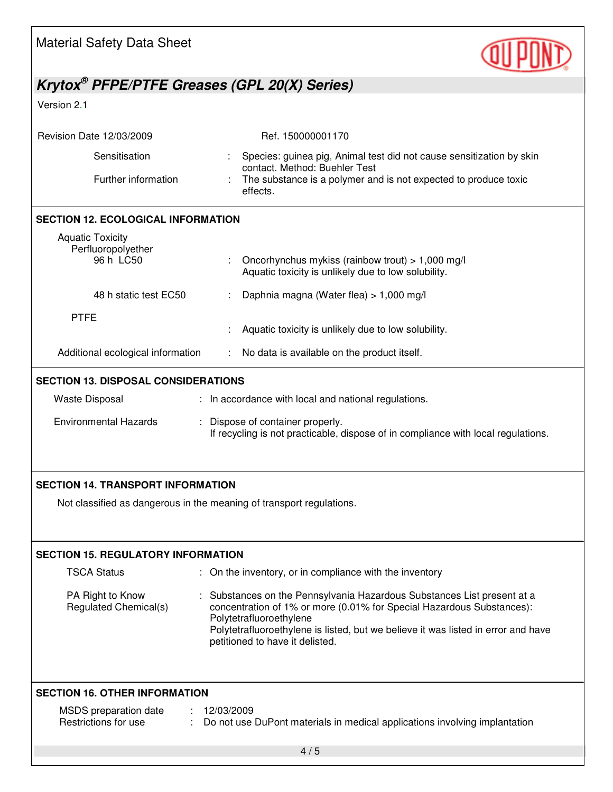| <b>Material Safety Data Sheet</b>                                                                                |                                                                                                                                                                                                                                                                                                   |
|------------------------------------------------------------------------------------------------------------------|---------------------------------------------------------------------------------------------------------------------------------------------------------------------------------------------------------------------------------------------------------------------------------------------------|
| Krytox <sup>®</sup> PFPE/PTFE Greases (GPL 20(X) Series)                                                         |                                                                                                                                                                                                                                                                                                   |
| Version 2.1                                                                                                      |                                                                                                                                                                                                                                                                                                   |
| Revision Date 12/03/2009                                                                                         | Ref. 150000001170                                                                                                                                                                                                                                                                                 |
| Sensitisation                                                                                                    | Species: guinea pig, Animal test did not cause sensitization by skin<br>contact. Method: Buehler Test                                                                                                                                                                                             |
| Further information                                                                                              | The substance is a polymer and is not expected to produce toxic<br>effects.                                                                                                                                                                                                                       |
| <b>SECTION 12. ECOLOGICAL INFORMATION</b>                                                                        |                                                                                                                                                                                                                                                                                                   |
| <b>Aquatic Toxicity</b><br>Perfluoropolyether                                                                    |                                                                                                                                                                                                                                                                                                   |
| 96 h LC50                                                                                                        | Oncorhynchus mykiss (rainbow trout) > 1,000 mg/l<br>Aquatic toxicity is unlikely due to low solubility.                                                                                                                                                                                           |
| 48 h static test EC50                                                                                            | Daphnia magna (Water flea) > 1,000 mg/l                                                                                                                                                                                                                                                           |
| <b>PTFE</b>                                                                                                      | Aquatic toxicity is unlikely due to low solubility.                                                                                                                                                                                                                                               |
| Additional ecological information                                                                                | No data is available on the product itself.                                                                                                                                                                                                                                                       |
| <b>SECTION 13. DISPOSAL CONSIDERATIONS</b><br><b>Waste Disposal</b><br><b>Environmental Hazards</b>              | : In accordance with local and national regulations.<br>: Dispose of container properly.<br>If recycling is not practicable, dispose of in compliance with local regulations.                                                                                                                     |
| <b>SECTION 14. TRANSPORT INFORMATION</b><br>Not classified as dangerous in the meaning of transport regulations. |                                                                                                                                                                                                                                                                                                   |
| <b>SECTION 15. REGULATORY INFORMATION</b>                                                                        |                                                                                                                                                                                                                                                                                                   |
| <b>TSCA Status</b>                                                                                               | : On the inventory, or in compliance with the inventory                                                                                                                                                                                                                                           |
| PA Right to Know<br>Regulated Chemical(s)                                                                        | Substances on the Pennsylvania Hazardous Substances List present at a<br>concentration of 1% or more (0.01% for Special Hazardous Substances):<br>Polytetrafluoroethylene<br>Polytetrafluoroethylene is listed, but we believe it was listed in error and have<br>petitioned to have it delisted. |
| <b>SECTION 16. OTHER INFORMATION</b>                                                                             |                                                                                                                                                                                                                                                                                                   |
| MSDS preparation date<br>Restrictions for use                                                                    | 12/03/2009<br>Do not use DuPont materials in medical applications involving implantation                                                                                                                                                                                                          |
|                                                                                                                  | 4/5                                                                                                                                                                                                                                                                                               |